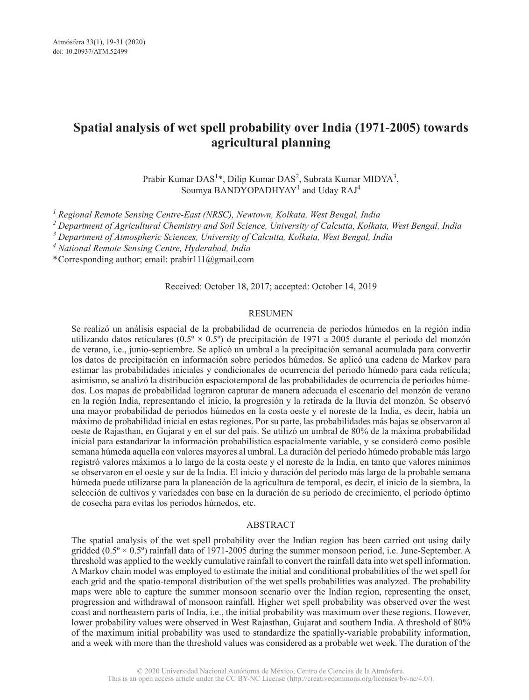# **Spatial analysis of wet spell probability over India (1971-2005) towards agricultural planning**

Prabir Kumar DAS<sup>1\*</sup>, Dilip Kumar DAS<sup>2</sup>, Subrata Kumar MIDYA<sup>3</sup>, Soumya BANDYOPADHYAY<sup>1</sup> and Uday RAJ<sup>4</sup>

*<sup>1</sup>Regional Remote Sensing Centre-East (NRSC), Newtown, Kolkata, West Bengal, India*

*<sup>2</sup>Department of Agricultural Chemistry and Soil Science, University of Calcutta, Kolkata, West Bengal, India*

*<sup>3</sup>Department of Atmospheric Sciences, University of Calcutta, Kolkata, West Bengal, India*

*<sup>4</sup>National Remote Sensing Centre, Hyderabad, India*

\* Corresponding author; email: prabir111@gmail.com

#### Received: October 18, 2017; accepted: October 14, 2019

#### RESUMEN

Se realizó un análisis espacial de la probabilidad de ocurrencia de periodos húmedos en la región india utilizando datos reticulares ( $0.5^\circ \times 0.5^\circ$ ) de precipitación de 1971 a 2005 durante el periodo del monzón de verano, i.e., junio-septiembre. Se aplicó un umbral a la precipitación semanal acumulada para convertir los datos de precipitación en información sobre periodos húmedos. Se aplicó una cadena de Markov para estimar las probabilidades iniciales y condicionales de ocurrencia del periodo húmedo para cada retícula; asimismo, se analizó la distribución espaciotemporal de las probabilidades de ocurrencia de periodos húmedos. Los mapas de probabilidad lograron capturar de manera adecuada el escenario del monzón de verano en la región India, representando el inicio, la progresión y la retirada de la lluvia del monzón. Se observó una mayor probabilidad de periodos húmedos en la costa oeste y el noreste de la India, es decir, había un máximo de probabilidad inicial en estas regiones. Por su parte, las probabilidades más bajas se observaron al oeste de Rajasthan, en Gujarat y en el sur del país. Se utilizó un umbral de 80% de la máxima probabilidad inicial para estandarizar la información probabilística espacialmente variable, y se consideró como posible semana húmeda aquella con valores mayores al umbral. La duración del periodo húmedo probable más largo registró valores máximos a lo largo de la costa oeste y el noreste de la India, en tanto que valores mínimos se observaron en el oeste y sur de la India. El inicio y duración del periodo más largo de la probable semana húmeda puede utilizarse para la planeación de la agricultura de temporal, es decir, el inicio de la siembra, la selección de cultivos y variedades con base en la duración de su periodo de crecimiento, el periodo óptimo de cosecha para evitas los periodos húmedos, etc.

#### ABSTRACT

The spatial analysis of the wet spell probability over the Indian region has been carried out using daily gridded  $(0.5^\circ \times 0.5^\circ)$  rainfall data of 1971-2005 during the summer monsoon period, i.e. June-September. A threshold was applied to the weekly cumulative rainfall to convert the rainfall data into wet spell information. A Markov chain model was employed to estimate the initial and conditional probabilities of the wet spell for each grid and the spatio-temporal distribution of the wet spells probabilities was analyzed. The probability maps were able to capture the summer monsoon scenario over the Indian region, representing the onset, progression and withdrawal of monsoon rainfall. Higher wet spell probability was observed over the west coast and northeastern parts of India, i.e., the initial probability was maximum over these regions. However, lower probability values were observed in West Rajasthan, Gujarat and southern India. A threshold of 80% of the maximum initial probability was used to standardize the spatially-variable probability information, and a week with more than the threshold values was considered as a probable wet week. The duration of the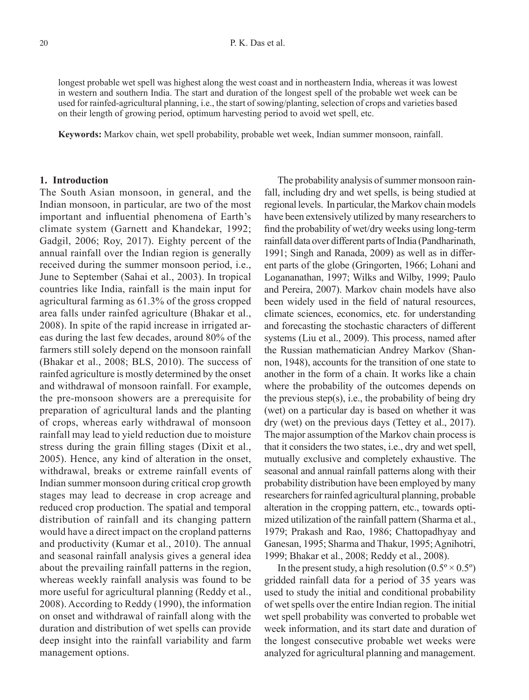longest probable wet spell was highest along the west coast and in northeastern India, whereas it was lowest in western and southern India. The start and duration of the longest spell of the probable wet week can be used for rainfed-agricultural planning, i.e., the start of sowing/planting, selection of crops and varieties based on their length of growing period, optimum harvesting period to avoid wet spell, etc.

**Keywords:** Markov chain, wet spell probability, probable wet week, Indian summer monsoon, rainfall.

## **1. Introduction**

The South Asian monsoon, in general, and the Indian monsoon, in particular, are two of the most important and influential phenomena of Earth's climate system (Garnett and Khandekar, 1992; Gadgil, 2006; Roy, 2017). Eighty percent of the annual rainfall over the Indian region is generally received during the summer monsoon period, i.e., June to September (Sahai et al., 2003). In tropical countries like India, rainfall is the main input for agricultural farming as 61.3% of the gross cropped area falls under rainfed agriculture (Bhakar et al., 2008). In spite of the rapid increase in irrigated areas during the last few decades, around 80% of the farmers still solely depend on the monsoon rainfall (Bhakar et al., 2008; BLS, 2010). The success of rainfed agriculture is mostly determined by the onset and withdrawal of monsoon rainfall. For example, the pre-monsoon showers are a prerequisite for preparation of agricultural lands and the planting of crops, whereas early withdrawal of monsoon rainfall may lead to yield reduction due to moisture stress during the grain filling stages (Dixit et al., 2005). Hence, any kind of alteration in the onset, withdrawal, breaks or extreme rainfall events of Indian summer monsoon during critical crop growth stages may lead to decrease in crop acreage and reduced crop production. The spatial and temporal distribution of rainfall and its changing pattern would have a direct impact on the cropland patterns and productivity (Kumar et al., 2010). The annual and seasonal rainfall analysis gives a general idea about the prevailing rainfall patterns in the region, whereas weekly rainfall analysis was found to be more useful for agricultural planning (Reddy et al., 2008). According to Reddy (1990), the information on onset and withdrawal of rainfall along with the duration and distribution of wet spells can provide deep insight into the rainfall variability and farm management options.

The probability analysis of summer monsoon rainfall, including dry and wet spells, is being studied at regional levels. In particular, the Markov chain models have been extensively utilized by many researchers to find the probability of wet/dry weeks using long-term rainfall data over different parts of India (Pandharinath, 1991; Singh and Ranada, 2009) as well as in different parts of the globe (Gringorten, 1966; Lohani and Logananathan, 1997; Wilks and Wilby, 1999; Paulo and Pereira, 2007). Markov chain models have also been widely used in the field of natural resources, climate sciences, economics, etc. for understanding and forecasting the stochastic characters of different systems (Liu et al., 2009). This process, named after the Russian mathematician Andrey Markov (Shannon, 1948), accounts for the transition of one state to another in the form of a chain. It works like a chain where the probability of the outcomes depends on the previous step $(s)$ , i.e., the probability of being dry (wet) on a particular day is based on whether it was dry (wet) on the previous days (Tettey et al., 2017). The major assumption of the Markov chain process is that it considers the two states, i.e., dry and wet spell, mutually exclusive and completely exhaustive. The seasonal and annual rainfall patterns along with their probability distribution have been employed by many researchers for rainfed agricultural planning, probable alteration in the cropping pattern, etc., towards optimized utilization of the rainfall pattern (Sharma et al., 1979; Prakash and Rao, 1986; Chattopadhyay and Ganesan, 1995; Sharma and Thakur, 1995; Agnihotri, 1999; Bhakar et al., 2008; Reddy et al., 2008).

In the present study, a high resolution  $(0.5\degree \times 0.5\degree)$ gridded rainfall data for a period of 35 years was used to study the initial and conditional probability of wet spells over the entire Indian region. The initial wet spell probability was converted to probable wet week information, and its start date and duration of the longest consecutive probable wet weeks were analyzed for agricultural planning and management.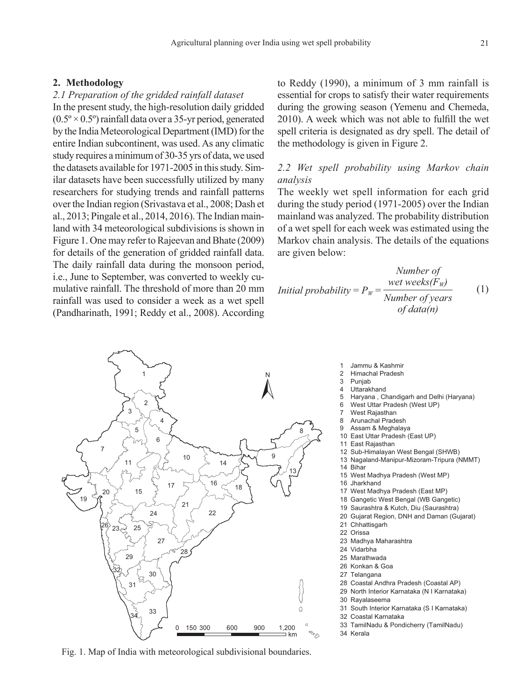## **2. Methodology**

#### *2.1 Preparation of the gridded rainfall dataset*

In the present study, the high-resolution daily gridded  $(0.5\degree \times 0.5\degree)$  rainfall data over a 35-yr period, generated by the India Meteorological Department (IMD) for the entire Indian subcontinent, was used. As any climatic study requires a minimum of 30-35 yrs of data, we used the datasets available for 1971-2005 in this study. Similar datasets have been successfully utilized by many researchers for studying trends and rainfall patterns over the Indian region (Srivastava et al., 2008; Dash et al., 2013; Pingale et al., 2014, 2016). The Indian mainland with 34 meteorological subdivisions is shown in Figure 1. One may refer to Rajeevan and Bhate (2009) for details of the generation of gridded rainfall data. The daily rainfall data during the monsoon period, i.e., June to September, was converted to weekly cumulative rainfall. The threshold of more than 20 mm rainfall was used to consider a week as a wet spell (Pandharinath, 1991; Reddy et al., 2008). According

1

2

6

4

33

34

10

17

7

19

11

3

5

to Reddy (1990), a minimum of 3 mm rainfall is essential for crops to satisfy their water requirements during the growing season (Yemenu and Chemeda, 2010). A week which was not able to fulfill the wet spell criteria is designated as dry spell. The detail of the methodology is given in Figure 2.

# *2.2 Wet spell probability using Markov chain analysis*

The weekly wet spell information for each grid during the study period (1971-2005) over the Indian mainland was analyzed. The probability distribution of a wet spell for each week was estimated using the Markov chain analysis. The details of the equations are given below:

Number of  
Initial probability = 
$$
P_W = \frac{wet weeks(F_W)}{Number of years}
$$
 (1)  
of data(n)



14

18

150 300 600 900 1.200

16

9

N

8

13

km

Ω

e<br>S

28 Coastal Andhra Pradesh (Coastal AP)

- 29 North Interior Karnataka (N I Karnataka)
- 30 Rayalaseema
- 31 South Interior Karnataka (S I Karnataka)
- 32 Coastal Karnataka
- 33 TamilNadu & Pondicherry (TamilNadu) 34 Kerala





- 3 Punjab<br>4 Uttarak
- 4 Uttarakhand<br>5 Harvana Cl
- 5 Haryana , Chandigarh and Delhi (Haryana)
- 6 West Uttar Pradesh (West UP)
- 7 West Rajasthan<br>8 Arunachal Prade
- Arunachal Pradesh
- 9 Assam & Meghalaya
- 10 East Uttar Pradesh (East UP)
- 11 East Rajasthan
- 12 Sub-Himalayan West Bengal (SHWB)
- 13 Nagaland-Manipur-Mizoram-Tripura (NMMT) 14 Bihar
- 15 West Madhya Pradesh (West MP)
- 16 Jharkhand
- 17 West Madhya Pradesh (East MP)
- 18 Gangetic West Bengal (WB Gangetic)
- 19 Saurashtra & Kutch, Diu (Saurashtra)
- 20 Gujarat Region, DNH and Daman (Gujarat)
- 21 Chhattisgarh
- 22 Orissa
- 23 Madhya Maharashtra
- 24 Vidarbha
- 25 Marathwada
- 26 Konkan & Goa 27 Telangana
-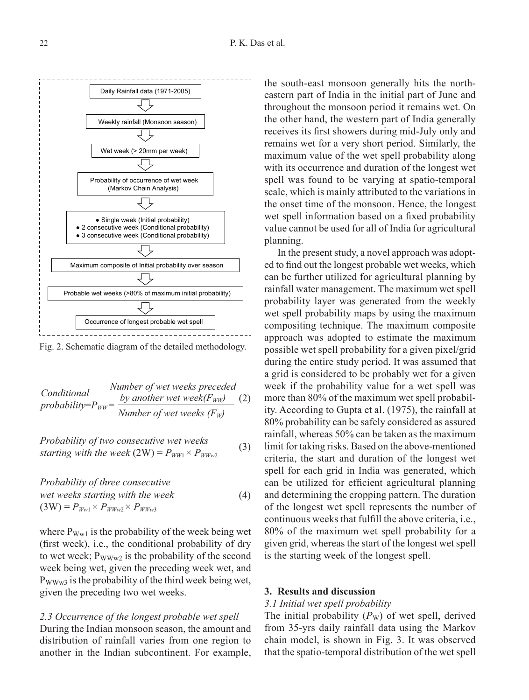

Fig. 2. Schematic diagram of the detailed methodology.

$$
Conditional
$$
  
Conditional  
probability= $P_{WW}$  =  $\frac{by$  another wet week( $F_{WW}$ ) (2)  
Number of wet weeks ( $F_W$ )

Probability of two consecutive wet weeks  
starting with the week (2W) = 
$$
P_{WW1} \times P_{WWw2}
$$
 (3)

*Probability of three consecutive wet weeks starting with the week*  $(3W) = P_{Ww1} \times P_{WWw2} \times P_{WWw3}$ (4)

where  $P_{\text{Ww1}}$  is the probability of the week being wet (first week), i.e., the conditional probability of dry to wet week;  $P_{WWW2}$  is the probability of the second week being wet, given the preceding week wet, and  $P_{WWW3}$  is the probability of the third week being wet, given the preceding two wet weeks.

*2.3 Occurrence of the longest probable wet spell* During the Indian monsoon season, the amount and distribution of rainfall varies from one region to another in the Indian subcontinent. For example, the south-east monsoon generally hits the northeastern part of India in the initial part of June and throughout the monsoon period it remains wet. On the other hand, the western part of India generally receives its first showers during mid-July only and remains wet for a very short period. Similarly, the maximum value of the wet spell probability along with its occurrence and duration of the longest wet spell was found to be varying at spatio-temporal scale, which is mainly attributed to the variations in the onset time of the monsoon. Hence, the longest wet spell information based on a fixed probability value cannot be used for all of India for agricultural planning.

In the present study, a novel approach was adopted to find out the longest probable wet weeks, which can be further utilized for agricultural planning by rainfall water management. The maximum wet spell probability layer was generated from the weekly wet spell probability maps by using the maximum compositing technique. The maximum composite approach was adopted to estimate the maximum possible wet spell probability for a given pixel/grid during the entire study period. It was assumed that a grid is considered to be probably wet for a given week if the probability value for a wet spell was more than 80% of the maximum wet spell probability. According to Gupta et al. (1975), the rainfall at 80% probability can be safely considered as assured rainfall, whereas 50% can be taken as the maximum limit for taking risks. Based on the above-mentioned criteria, the start and duration of the longest wet spell for each grid in India was generated, which can be utilized for efficient agricultural planning and determining the cropping pattern. The duration of the longest wet spell represents the number of continuous weeks that fulfill the above criteria, i.e., 80% of the maximum wet spell probability for a given grid, whereas the start of the longest wet spell is the starting week of the longest spell.

## **3. Results and discussion**

## *3.1 Initial wet spell probability*

The initial probability  $(P_W)$  of wet spell, derived from 35-yrs daily rainfall data using the Markov chain model, is shown in Fig. 3. It was observed that the spatio-temporal distribution of the wet spell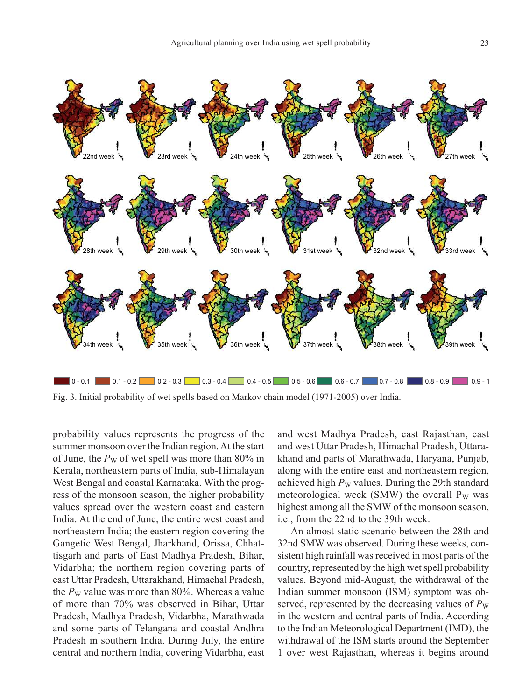

Fig. 3. Initial probability of wet spells based on Markov chain model (1971-2005) over India.

probability values represents the progress of the summer monsoon over the Indian region. At the start of June, the  $P_W$  of wet spell was more than 80% in Kerala, northeastern parts of India, sub-Himalayan West Bengal and coastal Karnataka. With the progress of the monsoon season, the higher probability values spread over the western coast and eastern India. At the end of June, the entire west coast and northeastern India; the eastern region covering the Gangetic West Bengal, Jharkhand, Orissa, Chhattisgarh and parts of East Madhya Pradesh, Bihar, Vidarbha; the northern region covering parts of east Uttar Pradesh, Uttarakhand, Himachal Pradesh, the  $P_W$  value was more than 80%. Whereas a value of more than 70% was observed in Bihar, Uttar Pradesh, Madhya Pradesh, Vidarbha, Marathwada and some parts of Telangana and coastal Andhra Pradesh in southern India. During July, the entire central and northern India, covering Vidarbha, east

and west Madhya Pradesh, east Rajasthan, east and west Uttar Pradesh, Himachal Pradesh, Uttarakhand and parts of Marathwada, Haryana, Punjab, along with the entire east and northeastern region, achieved high  $P_W$  values. During the 29th standard meteorological week (SMW) the overall  $P_W$  was highest among all the SMW of the monsoon season, i.e., from the 22nd to the 39th week.

An almost static scenario between the 28th and 32nd SMW was observed. During these weeks, consistent high rainfall was received in most parts of the country, represented by the high wet spell probability values. Beyond mid-August, the withdrawal of the Indian summer monsoon (ISM) symptom was observed, represented by the decreasing values of  $P_W$ in the western and central parts of India. According to the Indian Meteorological Department (IMD), the withdrawal of the ISM starts around the September 1 over west Rajasthan, whereas it begins around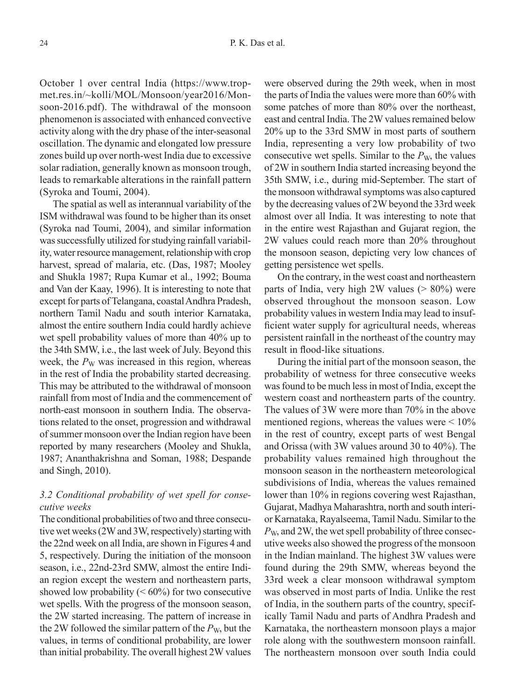October 1 over central India (https://www.tropmet.res.in/~kolli/MOL/Monsoon/year2016/Monsoon-2016.pdf). The withdrawal of the monsoon phenomenon is associated with enhanced convective activity along with the dry phase of the inter-seasonal oscillation. The dynamic and elongated low pressure zones build up over north-west India due to excessive solar radiation, generally known as monsoon trough, leads to remarkable alterations in the rainfall pattern (Syroka and Toumi, 2004).

The spatial as well as interannual variability of the ISM withdrawal was found to be higher than its onset (Syroka nad Toumi, 2004), and similar information was successfully utilized for studying rainfall variability, water resource management, relationship with crop harvest, spread of malaria, etc. (Das, 1987; Mooley and Shukla 1987; Rupa Kumar et al., 1992; Bouma and Van der Kaay, 1996). It is interesting to note that except for parts of Telangana, coastal Andhra Pradesh, northern Tamil Nadu and south interior Karnataka, almost the entire southern India could hardly achieve wet spell probability values of more than 40% up to the 34th SMW, i.e., the last week of July. Beyond this week, the  $P_W$  was increased in this region, whereas in the rest of India the probability started decreasing. This may be attributed to the withdrawal of monsoon rainfall from most of India and the commencement of north-east monsoon in southern India. The observations related to the onset, progression and withdrawal of summer monsoon over the Indian region have been reported by many researchers (Mooley and Shukla, 1987; Ananthakrishna and Soman, 1988; Despande and Singh, 2010).

# *3.2 Conditional probability of wet spell for consecutive weeks*

The conditional probabilities of two and three consecutive wet weeks (2W and 3W, respectively) starting with the 22nd week on all India, are shown in Figures 4 and 5, respectively. During the initiation of the monsoon season, i.e., 22nd-23rd SMW, almost the entire Indian region except the western and northeastern parts, showed low probability  $(< 60\%)$  for two consecutive wet spells. With the progress of the monsoon season, the 2W started increasing. The pattern of increase in the 2W followed the similar pattern of the  $P_{W}$ , but the values, in terms of conditional probability, are lower than initial probability. The overall highest 2W values

were observed during the 29th week, when in most the parts of India the values were more than 60% with some patches of more than 80% over the northeast, east and central India. The 2W values remained below 20% up to the 33rd SMW in most parts of southern India, representing a very low probability of two consecutive wet spells. Similar to the  $P_{W}$ , the values of 2W in southern India started increasing beyond the 35th SMW, i.e., during mid-September. The start of the monsoon withdrawal symptoms was also captured by the decreasing values of 2W beyond the 33rd week almost over all India. It was interesting to note that in the entire west Rajasthan and Gujarat region, the 2W values could reach more than 20% throughout the monsoon season, depicting very low chances of getting persistence wet spells.

On the contrary, in the west coast and northeastern parts of India, very high 2W values  $(> 80\%)$  were observed throughout the monsoon season. Low probability values in western India may lead to insufficient water supply for agricultural needs, whereas persistent rainfall in the northeast of the country may result in flood-like situations.

During the initial part of the monsoon season, the probability of wetness for three consecutive weeks was found to be much less in most of India, except the western coast and northeastern parts of the country. The values of 3W were more than 70% in the above mentioned regions, whereas the values were  $\leq 10\%$ in the rest of country, except parts of west Bengal and Orissa (with 3W values around 30 to 40%). The probability values remained high throughout the monsoon season in the northeastern meteorological subdivisions of India, whereas the values remained lower than 10% in regions covering west Rajasthan, Gujarat, Madhya Maharashtra, north and south interior Karnataka, Rayalseema, Tamil Nadu. Similar to the *P*W, and 2W, the wet spell probability of three consecutive weeks also showed the progress of the monsoon in the Indian mainland. The highest 3W values were found during the 29th SMW, whereas beyond the 33rd week a clear monsoon withdrawal symptom was observed in most parts of India. Unlike the rest of India, in the southern parts of the country, specifically Tamil Nadu and parts of Andhra Pradesh and Karnataka, the northeastern monsoon plays a major role along with the southwestern monsoon rainfall. The northeastern monsoon over south India could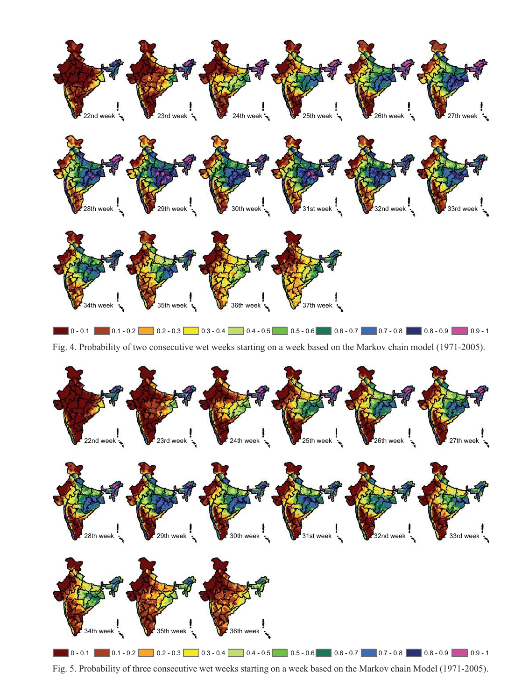

Fig. 4. Probability of two consecutive wet weeks starting on a week based on the Markov chain model (1971-2005).



Fig. 5. Probability of three consecutive wet weeks starting on a week based on the Markov chain Model (1971-2005).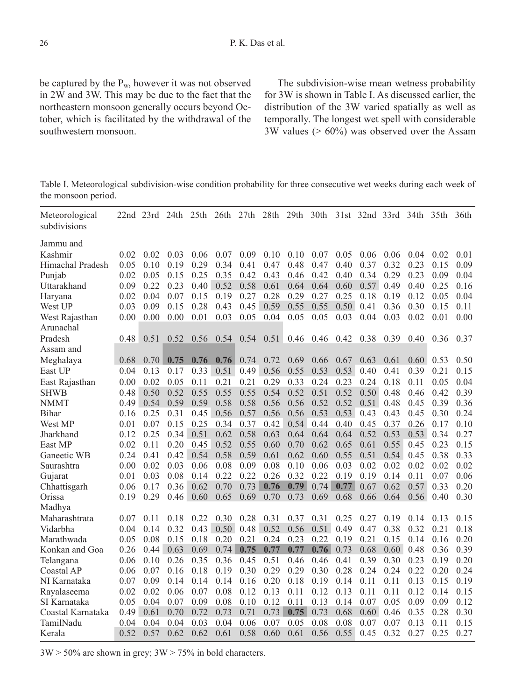be captured by the Pw, however it was not observed in 2W and 3W. This may be due to the fact that the northeastern monsoon generally occurs beyond October, which is facilitated by the withdrawal of the southwestern monsoon.

The subdivision-wise mean wetness probability for 3W is shown in Table I. As discussed earlier, the distribution of the 3W varied spatially as well as temporally. The longest wet spell with considerable 3W values (> 60%) was observed over the Assam

Table I. Meteorological subdivision-wise condition probability for three consecutive wet weeks during each week of the monsoon period.

| Meteorological<br>subdivisions |      | $22nd$ $23rd$ | 24th | 25 <sup>th</sup> | 26th | 27th | 28th | 29th | 30th |      | 31st 32nd 33rd |      | 34th | 35th | 36th |
|--------------------------------|------|---------------|------|------------------|------|------|------|------|------|------|----------------|------|------|------|------|
| Jammu and                      |      |               |      |                  |      |      |      |      |      |      |                |      |      |      |      |
| Kashmir                        | 0.02 | 0.02          | 0.03 | 0.06             | 0.07 | 0.09 | 0.10 | 0.10 | 0.07 | 0.05 | 0.06           | 0.06 | 0.04 | 0.02 | 0.01 |
| Himachal Pradesh               | 0.05 | 0.10          | 0.19 | 0.29             | 0.34 | 0.41 | 0.47 | 0.48 | 0.47 | 0.40 | 0.37           | 0.32 | 0.23 | 0.15 | 0.09 |
| Punjab                         | 0.02 | 0.05          | 0.15 | 0.25             | 0.35 | 0.42 | 0.43 | 0.46 | 0.42 | 0.40 | 0.34           | 0.29 | 0.23 | 0.09 | 0.04 |
| Uttarakhand                    | 0.09 | 0.22          | 0.23 | 0.40             | 0.52 | 0.58 | 0.61 | 0.64 | 0.64 | 0.60 | 0.57           | 0.49 | 0.40 | 0.25 | 0.16 |
| Haryana                        | 0.02 | 0.04          | 0.07 | 0.15             | 0.19 | 0.27 | 0.28 | 0.29 | 0.27 | 0.25 | 0.18           | 0.19 | 0.12 | 0.05 | 0.04 |
| West UP                        | 0.03 | 0.09          | 0.15 | 0.28             | 0.43 | 0.45 | 0.59 | 0.55 | 0.55 | 0.50 | 0.41           | 0.36 | 0.30 | 0.15 | 0.11 |
| West Rajasthan                 | 0.00 | 0.00          | 0.00 | 0.01             | 0.03 | 0.05 | 0.04 | 0.05 | 0.05 | 0.03 | 0.04           | 0.03 | 0.02 | 0.01 | 0.00 |
| Arunachal                      |      |               |      |                  |      |      |      |      |      |      |                |      |      |      |      |
| Pradesh                        | 0.48 | 0.51          | 0.52 | 0.56             | 0.54 | 0.54 | 0.51 | 0.46 | 0.46 | 0.42 | 0.38           | 0.39 | 0.40 | 0.36 | 0.37 |
| Assam and                      |      |               |      |                  |      |      |      |      |      |      |                |      |      |      |      |
| Meghalaya                      | 0.68 | 0.70          | 0.75 | 0.76             | 0.76 | 0.74 | 0.72 | 0.69 | 0.66 | 0.67 | 0.63           | 0.61 | 0.60 | 0.53 | 0.50 |
| East UP                        | 0.04 | 0.13          | 0.17 | 0.33             | 0.51 | 0.49 | 0.56 | 0.55 | 0.53 | 0.53 | 0.40           | 0.41 | 0.39 | 0.21 | 0.15 |
| East Rajasthan                 | 0.00 | 0.02          | 0.05 | 0.11             | 0.21 | 0.21 | 0.29 | 0.33 | 0.24 | 0.23 | 0.24           | 0.18 | 0.11 | 0.05 | 0.04 |
| <b>SHWB</b>                    | 0.48 | 0.50          | 0.52 | 0.55             | 0.55 | 0.55 | 0.54 | 0.52 | 0.51 | 0.52 | 0.50           | 0.48 | 0.46 | 0.42 | 0.39 |
| <b>NMMT</b>                    | 0.49 | 0.54          | 0.59 | 0.59             | 0.58 | 0.58 | 0.56 | 0.56 | 0.52 | 0.52 | 0.51           | 0.48 | 0.45 | 0.39 | 0.36 |
| Bihar                          | 0.16 | 0.25          | 0.31 | 0.45             | 0.56 | 0.57 | 0.56 | 0.56 | 0.53 | 0.53 | 0.43           | 0.43 | 0.45 | 0.30 | 0.24 |
| West MP                        | 0.01 | 0.07          | 0.15 | 0.25             | 0.34 | 0.37 | 0.42 | 0.54 | 0.44 | 0.40 | 0.45           | 0.37 | 0.26 | 0.17 | 0.10 |
| Jharkhand                      | 0.12 | 0.25          | 0.34 | 0.51             | 0.62 | 0.58 | 0.63 | 0.64 | 0.64 | 0.64 | 0.52           | 0.53 | 0.53 | 0.34 | 0.27 |
| East MP                        | 0.02 | 0.11          | 0.20 | 0.45             | 0.52 | 0.55 | 0.60 | 0.70 | 0.62 | 0.65 | 0.61           | 0.55 | 0.45 | 0.23 | 0.15 |
| Ganeetic WB                    | 0.24 | 0.41          | 0.42 | 0.54             | 0.58 | 0.59 | 0.61 | 0.62 | 0.60 | 0.55 | 0.51           | 0.54 | 0.45 | 0.38 | 0.33 |
| Saurashtra                     | 0.00 | 0.02          | 0.03 | 0.06             | 0.08 | 0.09 | 0.08 | 0.10 | 0.06 | 0.03 | 0.02           | 0.02 | 0.02 | 0.02 | 0.02 |
| Gujarat                        | 0.01 | 0.03          | 0.08 | 0.14             | 0.22 | 0.22 | 0.26 | 0.32 | 0.22 | 0.19 | 0.19           | 0.14 | 0.11 | 0.07 | 0.06 |
| Chhattisgarh                   | 0.06 | 0.17          | 0.36 | 0.62             | 0.70 | 0.73 | 0.76 | 0.79 | 0.74 | 0.77 | 0.67           | 0.62 | 0.57 | 0.33 | 0.20 |
| Orissa                         | 0.19 | 0.29          | 0.46 | 0.60             | 0.65 | 0.69 | 0.70 | 0.73 | 0.69 | 0.68 | 0.66           | 0.64 | 0.56 | 0.40 | 0.30 |
| Madhya                         |      |               |      |                  |      |      |      |      |      |      |                |      |      |      |      |
| Maharashtrata                  | 0.07 | 0.11          | 0.18 | 0.22             | 0.30 | 0.28 | 0.31 | 0.37 | 0.31 | 0.25 | 0.27           | 0.19 | 0.14 | 0.13 | 0.15 |
| Vidarbha                       | 0.04 | 0.14          | 0.32 | 0.43             | 0.50 | 0.48 | 0.52 | 0.56 | 0.51 | 0.49 | 0.47           | 0.38 | 0.32 | 0.21 | 0.18 |
| Marathwada                     | 0.05 | 0.08          | 0.15 | 0.18             | 0.20 | 0.21 | 0.24 | 0.23 | 0.22 | 0.19 | 0.21           | 0.15 | 0.14 | 0.16 | 0.20 |
| Konkan and Goa                 | 0.26 | 0.44          | 0.63 | 0.69             | 0.74 | 0.75 | 0.77 | 0.77 | 0.76 | 0.73 | 0.68           | 0.60 | 0.48 | 0.36 | 0.39 |
| Telangana                      | 0.06 | 0.10          | 0.26 | 0.35             | 0.36 | 0.45 | 0.51 | 0.46 | 0.46 | 0.41 | 0.39           | 0.30 | 0.23 | 0.19 | 0.20 |
| Coastal AP                     | 0.06 | 0.07          | 0.16 | 0.18             | 0.19 | 0.30 | 0.29 | 0.29 | 0.30 | 0.28 | 0.24           | 0.24 | 0.22 | 0.20 | 0.24 |
| NI Karnataka                   | 0.07 | 0.09          | 0.14 | 0.14             | 0.14 | 0.16 | 0.20 | 0.18 | 0.19 | 0.14 | 0.11           | 0.11 | 0.13 | 0.15 | 0.19 |
| Rayalaseema                    | 0.02 | 0.02          | 0.06 | 0.07             | 0.08 | 0.12 | 0.13 | 0.11 | 0.12 | 0.13 | 0.11           | 0.11 | 0.12 | 0.14 | 0.15 |
| SI Karnataka                   | 0.05 | 0.04          | 0.07 | 0.09             | 0.08 | 0.10 | 0.12 | 0.11 | 0.13 | 0.14 | 0.07           | 0.05 | 0.09 | 0.09 | 0.12 |
| Coastal Karnataka              | 0.49 | 0.61          | 0.70 | 0.72             | 0.73 | 0.71 | 0.73 | 0.75 | 0.73 | 0.68 | 0.60           | 0.46 | 0.35 | 0.28 | 0.30 |
| TamilNadu                      | 0.04 | 0.04          | 0.04 | 0.03             | 0.04 | 0.06 | 0.07 | 0.05 | 0.08 | 0.08 | 0.07           | 0.07 | 0.13 | 0.11 | 0.15 |
| Kerala                         | 0.52 | 0.57          | 0.62 | 0.62             | 0.61 | 0.58 | 0.60 | 0.61 | 0.56 | 0.55 | 0.45           | 0.32 | 0.27 | 0.25 | 0.27 |

 $3W > 50\%$  are shown in grey;  $3W > 75\%$  in bold characters.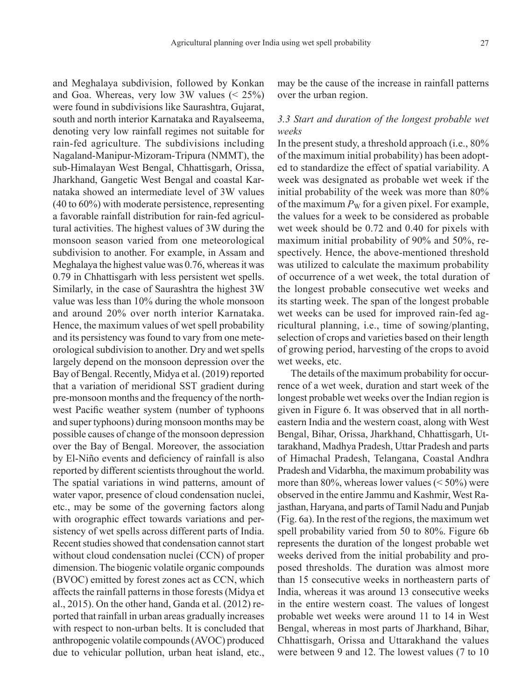and Meghalaya subdivision, followed by Konkan and Goa. Whereas, very low 3W values  $(< 25\%)$ were found in subdivisions like Saurashtra, Gujarat, south and north interior Karnataka and Rayalseema, denoting very low rainfall regimes not suitable for rain-fed agriculture. The subdivisions including Nagaland-Manipur-Mizoram-Tripura (NMMT), the sub-Himalayan West Bengal, Chhattisgarh, Orissa, Jharkhand, Gangetic West Bengal and coastal Karnataka showed an intermediate level of 3W values (40 to 60%) with moderate persistence, representing a favorable rainfall distribution for rain-fed agricultural activities. The highest values of 3W during the monsoon season varied from one meteorological subdivision to another. For example, in Assam and Meghalaya the highest value was 0.76, whereas it was 0.79 in Chhattisgarh with less persistent wet spells. Similarly, in the case of Saurashtra the highest 3W value was less than 10% during the whole monsoon and around 20% over north interior Karnataka. Hence, the maximum values of wet spell probability and its persistency was found to vary from one meteorological subdivision to another. Dry and wet spells largely depend on the monsoon depression over the Bay of Bengal. Recently, Midya et al. (2019) reported that a variation of meridional SST gradient during pre-monsoon months and the frequency of the northwest Pacific weather system (number of typhoons and super typhoons) during monsoon months may be possible causes of change of the monsoon depression over the Bay of Bengal. Moreover, the association by El-Niño events and deficiency of rainfall is also reported by different scientists throughout the world. The spatial variations in wind patterns, amount of water vapor, presence of cloud condensation nuclei, etc., may be some of the governing factors along with orographic effect towards variations and persistency of wet spells across different parts of India. Recent studies showed that condensation cannot start without cloud condensation nuclei (CCN) of proper dimension. The biogenic volatile organic compounds (BVOC) emitted by forest zones act as CCN, which affects the rainfall patterns in those forests (Midya et al., 2015). On the other hand, Ganda et al. (2012) reported that rainfall in urban areas gradually increases with respect to non-urban belts. It is concluded that anthropogenic volatile compounds (AVOC) produced due to vehicular pollution, urban heat island, etc.,

may be the cause of the increase in rainfall patterns over the urban region.

# *3.3 Start and duration of the longest probable wet weeks*

In the present study, a threshold approach (i.e., 80% of the maximum initial probability) has been adopted to standardize the effect of spatial variability. A week was designated as probable wet week if the initial probability of the week was more than 80% of the maximum  $P_W$  for a given pixel. For example, the values for a week to be considered as probable wet week should be 0.72 and 0.40 for pixels with maximum initial probability of 90% and 50%, respectively. Hence, the above-mentioned threshold was utilized to calculate the maximum probability of occurrence of a wet week, the total duration of the longest probable consecutive wet weeks and its starting week. The span of the longest probable wet weeks can be used for improved rain-fed agricultural planning, i.e., time of sowing/planting, selection of crops and varieties based on their length of growing period, harvesting of the crops to avoid wet weeks, etc.

The details of the maximum probability for occurrence of a wet week, duration and start week of the longest probable wet weeks over the Indian region is given in Figure 6. It was observed that in all northeastern India and the western coast, along with West Bengal, Bihar, Orissa, Jharkhand, Chhattisgarh, Uttarakhand, Madhya Pradesh, Uttar Pradesh and parts of Himachal Pradesh, Telangana, Coastal Andhra Pradesh and Vidarbha, the maximum probability was more than 80%, whereas lower values  $(< 50\%)$  were observed in the entire Jammu and Kashmir, West Rajasthan, Haryana, and parts of Tamil Nadu and Punjab (Fig. 6a). In the rest of the regions, the maximum wet spell probability varied from 50 to 80%. Figure 6b represents the duration of the longest probable wet weeks derived from the initial probability and proposed thresholds. The duration was almost more than 15 consecutive weeks in northeastern parts of India, whereas it was around 13 consecutive weeks in the entire western coast. The values of longest probable wet weeks were around 11 to 14 in West Bengal, whereas in most parts of Jharkhand, Bihar, Chhattisgarh, Orissa and Uttarakhand the values were between 9 and 12. The lowest values (7 to 10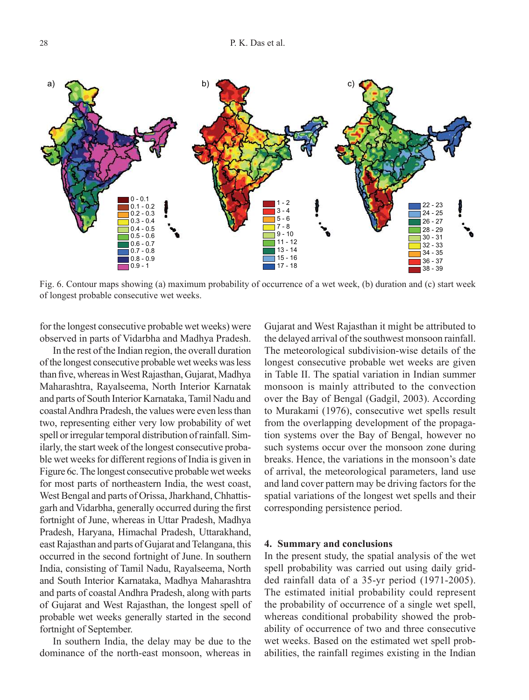

Fig. 6. Contour maps showing (a) maximum probability of occurrence of a wet week, (b) duration and (c) start week of longest probable consecutive wet weeks.

for the longest consecutive probable wet weeks) were observed in parts of Vidarbha and Madhya Pradesh.

In the rest of the Indian region, the overall duration of the longest consecutive probable wet weeks was less than five, whereas in West Rajasthan, Gujarat, Madhya Maharashtra, Rayalseema, North Interior Karnatak and parts of South Interior Karnataka, Tamil Nadu and coastal Andhra Pradesh, the values were even less than two, representing either very low probability of wet spell or irregular temporal distribution of rainfall. Similarly, the start week of the longest consecutive probable wet weeks for different regions of India is given in Figure 6c. The longest consecutive probable wet weeks for most parts of northeastern India, the west coast, West Bengal and parts of Orissa, Jharkhand, Chhattisgarh and Vidarbha, generally occurred during the first fortnight of June, whereas in Uttar Pradesh, Madhya Pradesh, Haryana, Himachal Pradesh, Uttarakhand, east Rajasthan and parts of Gujarat and Telangana, this occurred in the second fortnight of June. In southern India, consisting of Tamil Nadu, Rayalseema, North and South Interior Karnataka, Madhya Maharashtra and parts of coastal Andhra Pradesh, along with parts of Gujarat and West Rajasthan, the longest spell of probable wet weeks generally started in the second fortnight of September.

In southern India, the delay may be due to the dominance of the north-east monsoon, whereas in Gujarat and West Rajasthan it might be attributed to the delayed arrival of the southwest monsoon rainfall. The meteorological subdivision-wise details of the longest consecutive probable wet weeks are given in Table II. The spatial variation in Indian summer monsoon is mainly attributed to the convection over the Bay of Bengal (Gadgil, 2003). According to Murakami (1976), consecutive wet spells result from the overlapping development of the propagation systems over the Bay of Bengal, however no such systems occur over the monsoon zone during breaks. Hence, the variations in the monsoon's date of arrival, the meteorological parameters, land use and land cover pattern may be driving factors for the spatial variations of the longest wet spells and their corresponding persistence period.

#### **4. Summary and conclusions**

In the present study, the spatial analysis of the wet spell probability was carried out using daily gridded rainfall data of a 35-yr period (1971-2005). The estimated initial probability could represent the probability of occurrence of a single wet spell, whereas conditional probability showed the probability of occurrence of two and three consecutive wet weeks. Based on the estimated wet spell probabilities, the rainfall regimes existing in the Indian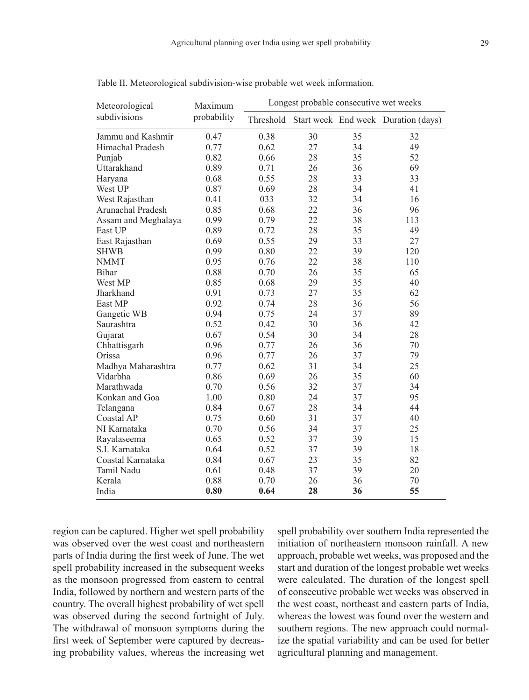| Meteorological      | Maximum     | Longest probable consecutive wet weeks |    |    |                                               |  |  |  |  |
|---------------------|-------------|----------------------------------------|----|----|-----------------------------------------------|--|--|--|--|
| subdivisions        | probability |                                        |    |    | Threshold Start week End week Duration (days) |  |  |  |  |
| Jammu and Kashmir   | 0.47        | 0.38                                   | 30 | 35 | 32                                            |  |  |  |  |
| Himachal Pradesh    | 0.77        | 0.62                                   | 27 | 34 | 49                                            |  |  |  |  |
| Punjab              | 0.82        | 0.66                                   | 28 | 35 | 52                                            |  |  |  |  |
| Uttarakhand         | 0.89        | 0.71                                   | 26 | 36 | 69                                            |  |  |  |  |
| Haryana             | 0.68        | 0.55                                   | 28 | 33 | 33                                            |  |  |  |  |
| West UP             | 0.87        | 0.69                                   | 28 | 34 | 41                                            |  |  |  |  |
| West Rajasthan      | 0.41        | 033                                    | 32 | 34 | 16                                            |  |  |  |  |
| Arunachal Pradesh   | 0.85        | 0.68                                   | 22 | 36 | 96                                            |  |  |  |  |
| Assam and Meghalaya | 0.99        | 0.79                                   | 22 | 38 | 113                                           |  |  |  |  |
| East UP             | 0.89        | 0.72                                   | 28 | 35 | 49                                            |  |  |  |  |
| East Rajasthan      | 0.69        | 0.55                                   | 29 | 33 | 27                                            |  |  |  |  |
| <b>SHWB</b>         | 0.99        | 0.80                                   | 22 | 39 | 120                                           |  |  |  |  |
| <b>NMMT</b>         | 0.95        | 0.76                                   | 22 | 38 | 110                                           |  |  |  |  |
| Bihar               | 0.88        | 0.70                                   | 26 | 35 | 65                                            |  |  |  |  |
| West MP             | 0.85        | 0.68                                   | 29 | 35 | 40                                            |  |  |  |  |
| Jharkhand           | 0.91        | 0.73                                   | 27 | 35 | 62                                            |  |  |  |  |
| East MP             | 0.92        | 0.74                                   | 28 | 36 | 56                                            |  |  |  |  |
| Gangetic WB         | 0.94        | 0.75                                   | 24 | 37 | 89                                            |  |  |  |  |
| Saurashtra          | 0.52        | 0.42                                   | 30 | 36 | 42                                            |  |  |  |  |
| Gujarat             | 0.67        | 0.54                                   | 30 | 34 | 28                                            |  |  |  |  |
| Chhattisgarh        | 0.96        | 0.77                                   | 26 | 36 | 70                                            |  |  |  |  |
| Orissa              | 0.96        | 0.77                                   | 26 | 37 | 79                                            |  |  |  |  |
| Madhya Maharashtra  | 0.77        | 0.62                                   | 31 | 34 | 25                                            |  |  |  |  |
| Vidarbha            | 0.86        | 0.69                                   | 26 | 35 | 60                                            |  |  |  |  |
| Marathwada          | 0.70        | 0.56                                   | 32 | 37 | 34                                            |  |  |  |  |
| Konkan and Goa      | 1.00        | 0.80                                   | 24 | 37 | 95                                            |  |  |  |  |
| Telangana           | 0.84        | 0.67                                   | 28 | 34 | 44                                            |  |  |  |  |
| Coastal AP          | 0.75        | 0.60                                   | 31 | 37 | 40                                            |  |  |  |  |
| NI Karnataka        | 0.70        | 0.56                                   | 34 | 37 | 25                                            |  |  |  |  |
| Rayalaseema         | 0.65        | 0.52                                   | 37 | 39 | 15                                            |  |  |  |  |
| S.I. Karnataka      | 0.64        | 0.52                                   | 37 | 39 | 18                                            |  |  |  |  |
| Coastal Karnataka   | 0.84        | 0.67                                   | 23 | 35 | 82                                            |  |  |  |  |
| Tamil Nadu          | 0.61        | 0.48                                   | 37 | 39 | 20                                            |  |  |  |  |
| Kerala              | 0.88        | 0.70                                   | 26 | 36 | 70                                            |  |  |  |  |
| India               | 0.80        | 0.64                                   | 28 | 36 | 55                                            |  |  |  |  |

Table II. Meteorological subdivision-wise probable wet week information.

region can be captured. Higher wet spell probability was observed over the west coast and northeastern parts of India during the first week of June. The wet spell probability increased in the subsequent weeks as the monsoon progressed from eastern to central India, followed by northern and western parts of the country. The overall highest probability of wet spell was observed during the second fortnight of July. The withdrawal of monsoon symptoms during the first week of September were captured by decreasing probability values, whereas the increasing wet spell probability over southern India represented the initiation of northeastern monsoon rainfall. A new approach, probable wet weeks, was proposed and the start and duration of the longest probable wet weeks were calculated. The duration of the longest spell of consecutive probable wet weeks was observed in the west coast, northeast and eastern parts of India, whereas the lowest was found over the western and southern regions. The new approach could normalize the spatial variability and can be used for better agricultural planning and management.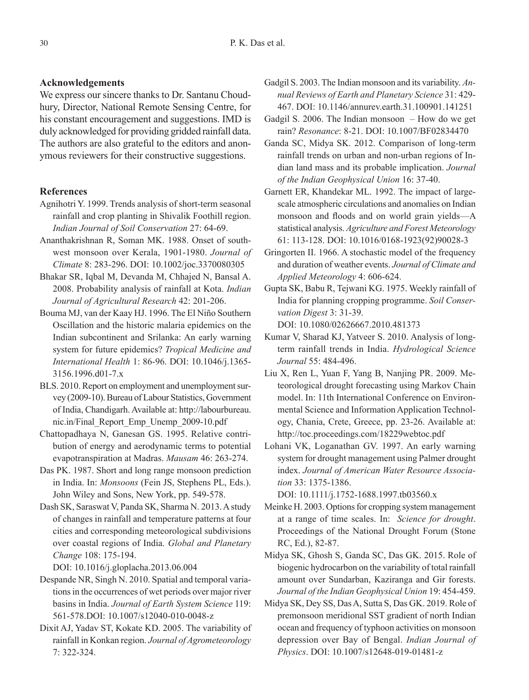## **Acknowledgements**

We express our sincere thanks to Dr. Santanu Choudhury, Director, National Remote Sensing Centre, for his constant encouragement and suggestions. IMD is duly acknowledged for providing gridded rainfall data. The authors are also grateful to the editors and anonymous reviewers for their constructive suggestions.

## **References**

- Agnihotri Y. 1999. Trends analysis of short-term seasonal rainfall and crop planting in Shivalik Foothill region. *Indian Journal of Soil Conservation* 27: 64-69.
- Ananthakrishnan R, Soman MK. 1988. Onset of southwest monsoon over Kerala, 1901-1980. *Journal of Climate* 8: 283-296. DOI: 10.1002/joc.3370080305
- Bhakar SR, Iqbal M, Devanda M, Chhajed N, Bansal A. 2008. Probability analysis of rainfall at Kota. *Indian Journal of Agricultural Research* 42: 201-206.
- Bouma MJ, van der Kaay HJ. 1996. The El Niño Southern Oscillation and the historic malaria epidemics on the Indian subcontinent and Srilanka: An early warning system for future epidemics? *Tropical Medicine and International Health* 1: 86-96. DOI: 10.1046/j.1365- 3156.1996.d01-7.x
- BLS. 2010. Report on employment and unemployment survey (2009-10). Bureau of Labour Statistics, Government of India, Chandigarh. Available at: http://labourbureau. nic.in/Final\_Report\_Emp\_Unemp\_2009-10.pdf
- Chattopadhaya N, Ganesan GS. 1995. Relative contribution of energy and aerodynamic terms to potential evapotranspiration at Madras. *Mausam* 46: 263-274.
- Das PK. 1987. Short and long range monsoon prediction in India. In: *Monsoons* (Fein JS, Stephens PL, Eds.). John Wiley and Sons, New York, pp. 549-578.
- Dash SK, Saraswat V, Panda SK, Sharma N. 2013. A study of changes in rainfall and temperature patterns at four cities and corresponding meteorological subdivisions over coastal regions of India. *Global and Planetary Change* 108: 175-194.

DOI: 10.1016/j.gloplacha.2013.06.004

- Despande NR, Singh N. 2010. Spatial and temporal variations in the occurrences of wet periods over major river basins in India. *Journal of Earth System Science* 119: 561-578.DOI: 10.1007/s12040-010-0048-z
- Dixit AJ, Yadav ST, Kokate KD. 2005. The variability of rainfall in Konkan region. *Journal of Agrometeorology* 7: 322-324.
- Gadgil S. 2003. The Indian monsoon and its variability. *Annual Reviews of Earth and Planetary Science* 31: 429- 467. DOI: 10.1146/annurev.earth.31.100901.141251
- Gadgil S. 2006. The Indian monsoon How do we get rain? *Resonance*: 8-21. DOI: 10.1007/BF02834470
- Ganda SC, Midya SK. 2012. Comparison of long-term rainfall trends on urban and non-urban regions of Indian land mass and its probable implication. *Journal of the Indian Geophysical Union* 16: 37-40.
- Garnett ER, Khandekar ML. 1992. The impact of largescale atmospheric circulations and anomalies on Indian monsoon and floods and on world grain yields—A statistical analysis. *Agriculture and Forest Meteorology* 61: 113-128. DOI: 10.1016/0168-1923(92)90028-3
- Gringorten II. 1966. A stochastic model of the frequency and duration of weather events. *Journal of Climate and Applied Meteorology* 4: 606-624.
- Gupta SK, Babu R, Tejwani KG. 1975. Weekly rainfall of India for planning cropping programme. *Soil Conservation Digest* 3: 31-39.

DOI: 10.1080/02626667.2010.481373

- Kumar V, Sharad KJ, Yatveer S. 2010. Analysis of longterm rainfall trends in India. *Hydrological Science Journal* 55: 484-496.
- Liu X, Ren L, Yuan F, Yang B, Nanjing PR. 2009. Meteorological drought forecasting using Markov Chain model. In: 11th International Conference on Environmental Science and Information Application Technology, Chania, Crete, Greece, pp. 23-26. Available at: http://toc.proceedings.com/18229webtoc.pdf
- Lohani VK, Loganathan GV. 1997. An early warning system for drought management using Palmer drought index. *Journal of American Water Resource Association* 33: 1375-1386.

DOI: 10.1111/j.1752-1688.1997.tb03560.x

- Meinke H. 2003. Options for cropping system management at a range of time scales. In: *Science for drought*. Proceedings of the National Drought Forum (Stone RC, Ed.), 82-87.
- Midya SK, Ghosh S, Ganda SC, Das GK. 2015. Role of biogenic hydrocarbon on the variability of total rainfall amount over Sundarban, Kaziranga and Gir forests. *Journal of the Indian Geophysical Union* 19: 454-459.
- Midya SK, Dey SS, Das A, Sutta S, Das GK. 2019. Role of premonsoon meridional SST gradient of north Indian ocean and frequency of typhoon activities on monsoon depression over Bay of Bengal. *Indian Journal of Physics*. DOI: 10.1007/s12648-019-01481-z